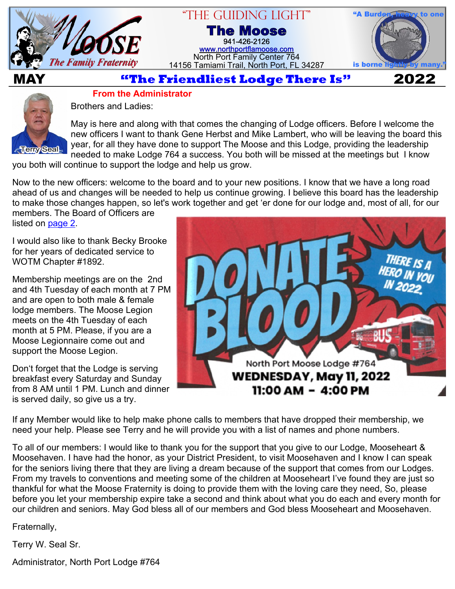

#### "The Guiding Light" **The Moose** 941-426-2126 [www.northportflamoose.com](https://www.northportflamoose.com)

North Port Family Center 764 14156 Tamiami Trail, North Port, FL 34287



**MAY 2022**



**From the Administrator**

Brothers and Ladies:

May is here and along with that comes the changing of Lodge officers. Before I welcome the new officers I want to thank Gene Herbst and Mike Lambert, who will be leaving the board this year, for all they have done to support The Moose and this Lodge, providing the leadership needed to make Lodge 764 a success. You both will be missed at the meetings but I know

you both will continue to support the lodge and help us grow.

Now to the new officers: welcome to the board and to your new positions. I know that we have a long road ahead of us and changes will be needed to help us continue growing. I believe this board has the leadership to make those changes happen, so let's work together and get 'er done for our lodge and, most of all, for our

members. The Board of Officers are listed on page 2.

I would also like to thank Becky Brooke for her years of dedicated service to WOTM Chapter #1892.

Membership meetings are on the 2nd and 4th Tuesday of each month at 7 PM and are open to both male & female lodge members. The Moose Legion meets on the 4th Tuesday of each month at 5 PM. Please, if you are a Moose Legionnaire come out and support the Moose Legion.

Don't forget that the Lodge is serving breakfast every Saturday and Sunday from 8 AM until 1 PM. Lunch and dinner is served daily, so give us a try.



If any Member would like to help make phone calls to members that have dropped their membership, we need your help. Please see Terry and he will provide you with a list of names and phone numbers.

To all of our members: I would like to thank you for the support that you give to our Lodge, Mooseheart & Moosehaven. I have had the honor, as your District President, to visit Moosehaven and I know I can speak for the seniors living there that they are living a dream because of the support that comes from our Lodges. From my travels to conventions and meeting some of the children at Mooseheart I've found they are just so thankful for what the Moose Fraternity is doing to provide them with the loving care they need, So, please before you let your membership expire take a second and think about what you do each and every month for our children and seniors. May God bless all of our members and God bless Mooseheart and Moosehaven.

Fraternally,

Terry W. Seal Sr.

Administrator, North Port Lodge #764